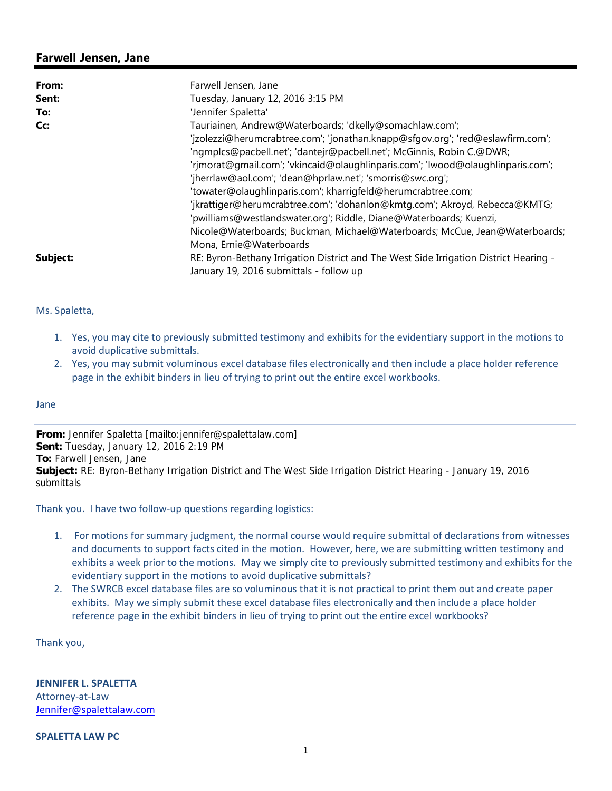## **Farwell Jensen, Jane**

| From:    | Farwell Jensen, Jane                                                                  |
|----------|---------------------------------------------------------------------------------------|
| Sent:    | Tuesday, January 12, 2016 3:15 PM                                                     |
| To:      | 'Jennifer Spaletta'                                                                   |
| Cc:      | Tauriainen, Andrew@Waterboards; 'dkelly@somachlaw.com';                               |
|          | 'jzolezzi@herumcrabtree.com'; 'jonathan.knapp@sfqov.org'; 'red@eslawfirm.com';        |
|          | 'ngmplcs@pacbell.net'; 'dantejr@pacbell.net'; McGinnis, Robin C.@DWR;                 |
|          | 'rjmorat@gmail.com'; 'vkincaid@olaughlinparis.com'; 'lwood@olaughlinparis.com';       |
|          | 'jherrlaw@aol.com'; 'dean@hprlaw.net'; 'smorris@swc.org';                             |
|          | 'towater@olaughlinparis.com'; kharrigfeld@herumcrabtree.com;                          |
|          | 'jkrattiger@herumcrabtree.com'; 'dohanlon@kmtg.com'; Akroyd, Rebecca@KMTG;            |
|          | 'pwilliams@westlandswater.org'; Riddle, Diane@Waterboards; Kuenzi,                    |
|          | Nicole@Waterboards; Buckman, Michael@Waterboards; McCue, Jean@Waterboards;            |
|          | Mona, Ernie@Waterboards                                                               |
| Subject: | RE: Byron-Bethany Irrigation District and The West Side Irrigation District Hearing - |
|          | January 19, 2016 submittals - follow up                                               |

## Ms. Spaletta,

- 1. Yes, you may cite to previously submitted testimony and exhibits for the evidentiary support in the motions to avoid duplicative submittals.
- 2. Yes, you may submit voluminous excel database files electronically and then include a place holder reference page in the exhibit binders in lieu of trying to print out the entire excel workbooks.

## Jane

**From:** Jennifer Spaletta [mailto:jennifer@spalettalaw.com] **Sent:** Tuesday, January 12, 2016 2:19 PM **To:** Farwell Jensen, Jane **Subject:** RE: Byron-Bethany Irrigation District and The West Side Irrigation District Hearing - January 19, 2016 submittals

Thank you. I have two follow‐up questions regarding logistics:

- 1. For motions for summary judgment, the normal course would require submittal of declarations from witnesses and documents to support facts cited in the motion. However, here, we are submitting written testimony and exhibits a week prior to the motions. May we simply cite to previously submitted testimony and exhibits for the evidentiary support in the motions to avoid duplicative submittals?
- 2. The SWRCB excel database files are so voluminous that it is not practical to print them out and create paper exhibits. May we simply submit these excel database files electronically and then include a place holder reference page in the exhibit binders in lieu of trying to print out the entire excel workbooks?

Thank you,

**JENNIFER L. SPALETTA** Attorney‐at‐Law Jennifer@spalettalaw.com

**SPALETTA LAW PC**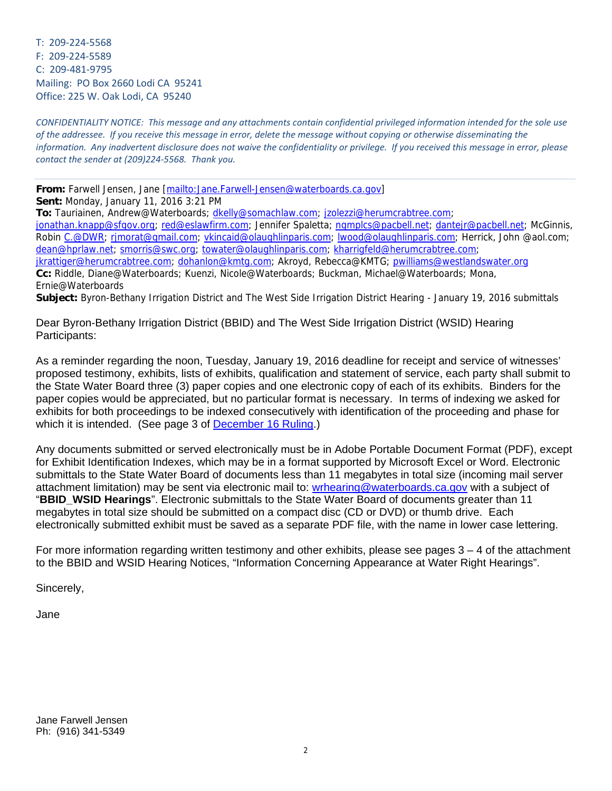T: 209‐224‐5568 F: 209‐224‐5589 C: 209‐481‐9795 Mailing: PO Box 2660 Lodi CA 95241 Office: 225 W. Oak Lodi, CA 95240

CONFIDENTIALITY NOTICE: This message and any attachments contain confidential privileged information intended for the sole use of the addressee. If you receive this message in error, delete the message without copying or otherwise disseminating the information. Any inadvertent disclosure does not waive the confidentiality or privilege. If you received this message in error, please *contact the sender at (209)224‐5568. Thank you.*

**From:** Farwell Jensen, Jane [mailto:Jane.Farwell-Jensen@waterboards.ca.gov] **Sent:** Monday, January 11, 2016 3:21 PM

**To:** Tauriainen, Andrew@Waterboards; dkelly@somachlaw.com; jzolezzi@herumcrabtree.com;

jonathan.knapp@sfgov.org; red@eslawfirm.com; Jennifer Spaletta; ngmplcs@pacbell.net; dantejr@pacbell.net; McGinnis, Robin C.@DWR; rjmorat@gmail.com; vkincaid@olaughlinparis.com; lwood@olaughlinparis.com; Herrick, John @aol.com; dean@hprlaw.net; smorris@swc.org; towater@olaughlinparis.com; kharrigfeld@herumcrabtree.com;

jkrattiger@herumcrabtree.com; dohanlon@kmtg.com; Akroyd, Rebecca@KMTG; pwilliams@westlandswater.org **Cc:** Riddle, Diane@Waterboards; Kuenzi, Nicole@Waterboards; Buckman, Michael@Waterboards; Mona, Ernie@Waterboards

**Subject:** Byron-Bethany Irrigation District and The West Side Irrigation District Hearing - January 19, 2016 submittals

Dear Byron-Bethany Irrigation District (BBID) and The West Side Irrigation District (WSID) Hearing Participants:

As a reminder regarding the noon, Tuesday, January 19, 2016 deadline for receipt and service of witnesses' proposed testimony, exhibits, lists of exhibits, qualification and statement of service, each party shall submit to the State Water Board three (3) paper copies and one electronic copy of each of its exhibits. Binders for the paper copies would be appreciated, but no particular format is necessary. In terms of indexing we asked for exhibits for both proceedings to be indexed consecutively with identification of the proceeding and phase for which it is intended. (See page 3 of December 16 Ruling.)

Any documents submitted or served electronically must be in Adobe Portable Document Format (PDF), except for Exhibit Identification Indexes, which may be in a format supported by Microsoft Excel or Word. Electronic submittals to the State Water Board of documents less than 11 megabytes in total size (incoming mail server attachment limitation) may be sent via electronic mail to: wrhearing@waterboards.ca.gov with a subject of "**BBID\_WSID Hearings**". Electronic submittals to the State Water Board of documents greater than 11 megabytes in total size should be submitted on a compact disc (CD or DVD) or thumb drive. Each electronically submitted exhibit must be saved as a separate PDF file, with the name in lower case lettering.

For more information regarding written testimony and other exhibits, please see pages  $3 - 4$  of the attachment to the BBID and WSID Hearing Notices, "Information Concerning Appearance at Water Right Hearings".

Sincerely,

Jane